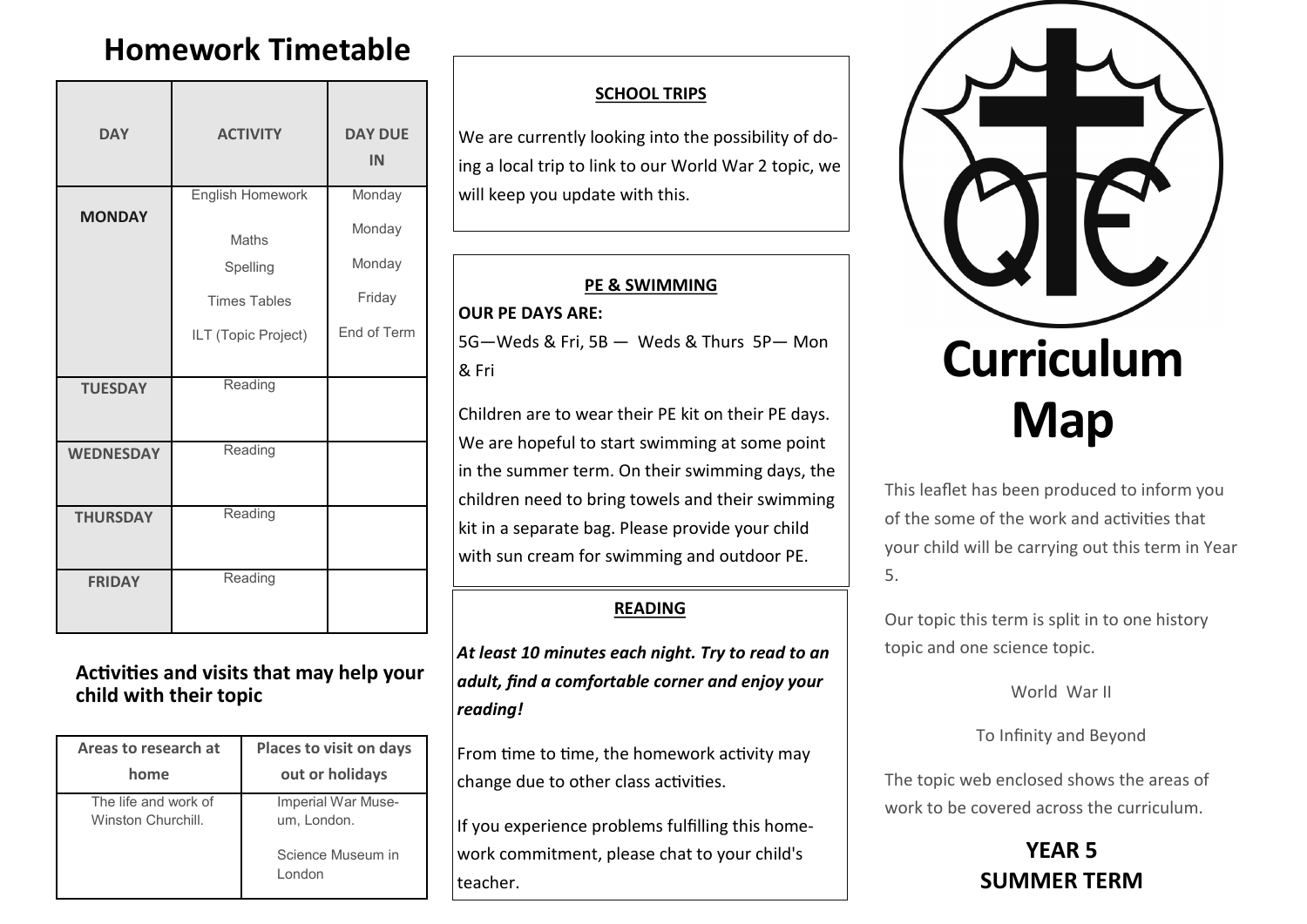# **Homework Timetable**

| <b>DAY</b>       | <b>ACTIVITY</b>                                        | <b>DAY DUE</b><br>IN       |
|------------------|--------------------------------------------------------|----------------------------|
| <b>MONDAY</b>    | English Homework<br>Maths                              | Monday<br>Monday<br>Monday |
|                  | Spelling<br><b>Times Tables</b><br>ILT (Topic Project) | Friday<br>End of Term      |
| <b>TUESDAY</b>   | Reading                                                |                            |
| <b>WEDNESDAY</b> | Reading                                                |                            |
| <b>THURSDAY</b>  | Reading                                                |                            |
| <b>FRIDAY</b>    | Reading                                                |                            |

### **Activities and visits that may help your child with their topic**

| Areas to research at                       | Places to visit on days           |  |
|--------------------------------------------|-----------------------------------|--|
| home                                       | out or holidays                   |  |
| The life and work of<br>Winston Churchill. | Imperial War Muse-<br>um, London. |  |
|                                            | Science Museum in<br>London       |  |

#### **SCHOOL TRIPS**

We are currently looking into the possibility of doing a local trip to link to our World War 2 topic, we will keep you update with this.

#### **PE & SWIMMING**

#### **OUR PE DAYS ARE:**

5G—Weds & Fri, 5B — Weds & Thurs 5P— Mon & Fri

Children are to wear their PE kit on their PE days. We are hopeful to start swimming at some point in the summer term. On their swimming days, the children need to bring towels and their swimming kit in a separate bag. Please provide your child with sun cream for swimming and outdoor PE.

### **READING**

*At least 10 minutes each night. Try to read to an adult, find a comfortable corner and enjoy your reading!*

From time to time, the homework activity may change due to other class activities.

If you experience problems fulfilling this homework commitment, please chat to your child's teacher.



This leaflet has been produced to inform you of the some of the work and activities that your child will be carrying out this term in Year 5.

Our topic this term is split in to one history topic and one science topic.

World War II

To Infinity and Beyond

The topic web enclosed shows the areas of work to be covered across the curriculum.

## **YEAR 5 SUMMER TERM**